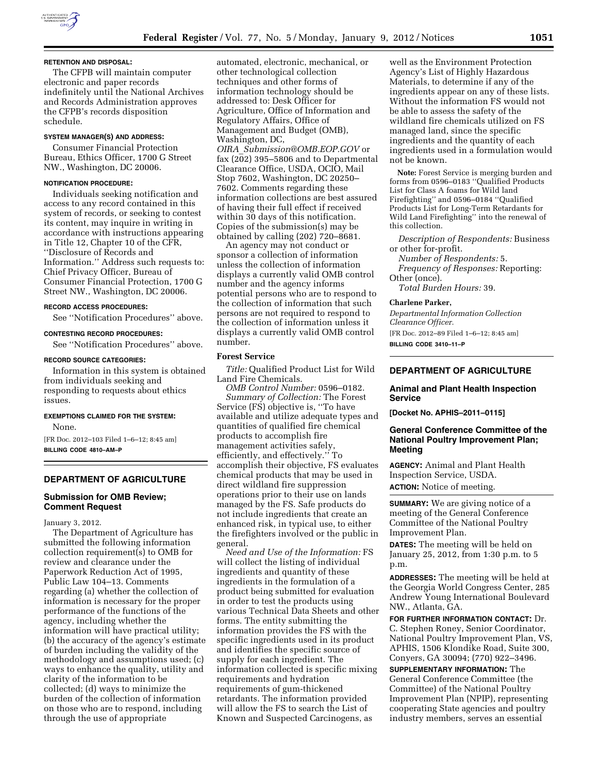

### **RETENTION AND DISPOSAL:**

The CFPB will maintain computer electronic and paper records indefinitely until the National Archives and Records Administration approves the CFPB's records disposition schedule.

### **SYSTEM MANAGER(S) AND ADDRESS:**

Consumer Financial Protection Bureau, Ethics Officer, 1700 G Street NW., Washington, DC 20006.

#### **NOTIFICATION PROCEDURE:**

Individuals seeking notification and access to any record contained in this system of records, or seeking to contest its content, may inquire in writing in accordance with instructions appearing in Title 12, Chapter 10 of the CFR, ''Disclosure of Records and Information.'' Address such requests to: Chief Privacy Officer, Bureau of Consumer Financial Protection, 1700 G Street NW., Washington, DC 20006.

#### **RECORD ACCESS PROCEDURES:**

See ''Notification Procedures'' above.

#### **CONTESTING RECORD PROCEDURES:**

See ''Notification Procedures'' above.

#### **RECORD SOURCE CATEGORIES:**

Information in this system is obtained from individuals seeking and responding to requests about ethics issues.

# **EXEMPTIONS CLAIMED FOR THE SYSTEM:**

None.

[FR Doc. 2012–103 Filed 1–6–12; 8:45 am] **BILLING CODE 4810–AM–P** 

### **DEPARTMENT OF AGRICULTURE**

### **Submission for OMB Review; Comment Request**

January 3, 2012.

The Department of Agriculture has submitted the following information collection requirement(s) to OMB for review and clearance under the Paperwork Reduction Act of 1995, Public Law 104–13. Comments regarding (a) whether the collection of information is necessary for the proper performance of the functions of the agency, including whether the information will have practical utility; (b) the accuracy of the agency's estimate of burden including the validity of the methodology and assumptions used; (c) ways to enhance the quality, utility and clarity of the information to be collected; (d) ways to minimize the burden of the collection of information on those who are to respond, including through the use of appropriate

automated, electronic, mechanical, or other technological collection techniques and other forms of information technology should be addressed to: Desk Officer for Agriculture, Office of Information and Regulatory Affairs, Office of Management and Budget (OMB), Washington, DC,

*OIRA*\_*[Submission@OMB.EOP.GOV](mailto:OIRA_Submission@OMB.EOP.GOV)* or fax (202) 395–5806 and to Departmental Clearance Office, USDA, OCIO, Mail Stop 7602, Washington, DC 20250– 7602. Comments regarding these information collections are best assured of having their full effect if received within 30 days of this notification. Copies of the submission(s) may be obtained by calling (202) 720–8681.

An agency may not conduct or sponsor a collection of information unless the collection of information displays a currently valid OMB control number and the agency informs potential persons who are to respond to the collection of information that such persons are not required to respond to the collection of information unless it displays a currently valid OMB control number.

### **Forest Service**

*Title:* Qualified Product List for Wild Land Fire Chemicals.

*OMB Control Number:* 0596–0182. *Summary of Collection:* The Forest Service (FS) objective is, ''To have available and utilize adequate types and quantities of qualified fire chemical products to accomplish fire management activities safely, efficiently, and effectively.'' To accomplish their objective, FS evaluates chemical products that may be used in direct wildland fire suppression operations prior to their use on lands managed by the FS. Safe products do not include ingredients that create an enhanced risk, in typical use, to either the firefighters involved or the public in general.

*Need and Use of the Information:* FS will collect the listing of individual ingredients and quantity of these ingredients in the formulation of a product being submitted for evaluation in order to test the products using various Technical Data Sheets and other forms. The entity submitting the information provides the FS with the specific ingredients used in its product and identifies the specific source of supply for each ingredient. The information collected is specific mixing requirements and hydration requirements of gum-thickened retardants. The information provided will allow the FS to search the List of Known and Suspected Carcinogens, as

well as the Environment Protection Agency's List of Highly Hazardous Materials, to determine if any of the ingredients appear on any of these lists. Without the information FS would not be able to assess the safety of the wildland fire chemicals utilized on FS managed land, since the specific ingredients and the quantity of each ingredients used in a formulation would not be known.

**Note:** Forest Service is merging burden and forms from 0596–0183 ''Qualified Products List for Class A foams for Wild land Firefighting'' and 0596–0184 ''Qualified Products List for Long-Term Retardants for Wild Land Firefighting'' into the renewal of this collection.

*Description of Respondents:* Business or other for-profit.

*Number of Respondents:* 5. *Frequency of Responses:* Reporting:

Other (once). *Total Burden Hours:* 39.

#### **Charlene Parker,**

*Departmental Information Collection Clearance Officer.* 

[FR Doc. 2012–89 Filed 1–6–12; 8:45 am] **BILLING CODE 3410–11–P** 

### **DEPARTMENT OF AGRICULTURE**

#### **Animal and Plant Health Inspection Service**

**[Docket No. APHIS–2011–0115]** 

### **General Conference Committee of the National Poultry Improvement Plan; Meeting**

**AGENCY:** Animal and Plant Health Inspection Service, USDA. **ACTION:** Notice of meeting.

**SUMMARY:** We are giving notice of a meeting of the General Conference Committee of the National Poultry Improvement Plan.

**DATES:** The meeting will be held on January 25, 2012, from 1:30 p.m. to 5 p.m.

**ADDRESSES:** The meeting will be held at the Georgia World Congress Center, 285 Andrew Young International Boulevard NW., Atlanta, GA.

**FOR FURTHER INFORMATION CONTACT:** Dr. C. Stephen Roney, Senior Coordinator, National Poultry Improvement Plan, VS, APHIS, 1506 Klondike Road, Suite 300, Conyers, GA 30094; (770) 922–3496.

**SUPPLEMENTARY INFORMATION:** The General Conference Committee (the Committee) of the National Poultry Improvement Plan (NPIP), representing cooperating State agencies and poultry industry members, serves an essential